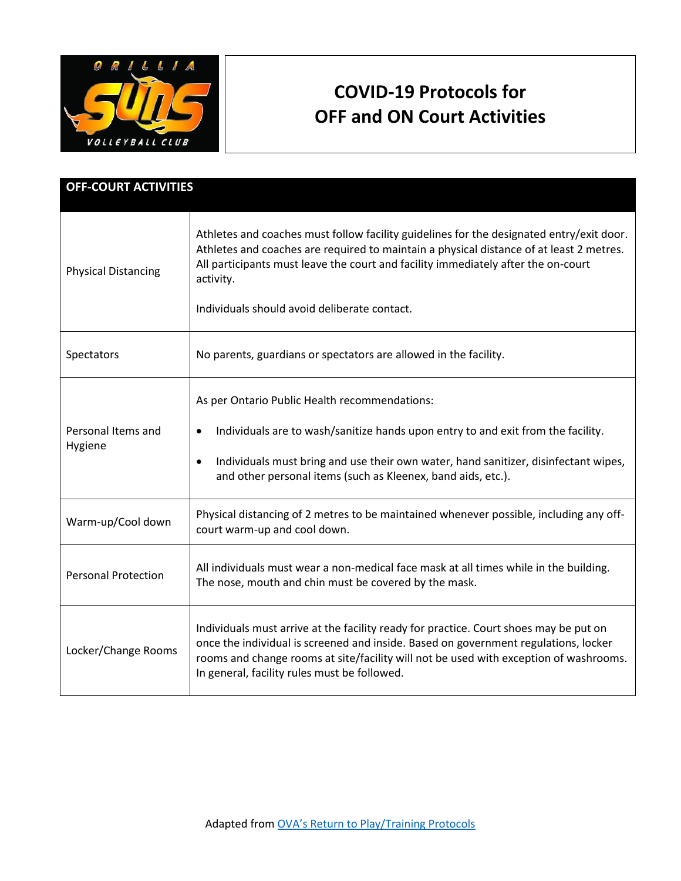

## **COVID-19 Protocols for OFF and ON Court Activities**

| <b>OFF-COURT ACTIVITIES</b>   |                                                                                                                                                                                                                                                                                                                                       |
|-------------------------------|---------------------------------------------------------------------------------------------------------------------------------------------------------------------------------------------------------------------------------------------------------------------------------------------------------------------------------------|
| <b>Physical Distancing</b>    | Athletes and coaches must follow facility guidelines for the designated entry/exit door.<br>Athletes and coaches are required to maintain a physical distance of at least 2 metres.<br>All participants must leave the court and facility immediately after the on-court<br>activity.<br>Individuals should avoid deliberate contact. |
| Spectators                    | No parents, guardians or spectators are allowed in the facility.                                                                                                                                                                                                                                                                      |
| Personal Items and<br>Hygiene | As per Ontario Public Health recommendations:<br>Individuals are to wash/sanitize hands upon entry to and exit from the facility.<br>$\bullet$<br>Individuals must bring and use their own water, hand sanitizer, disinfectant wipes,<br>$\bullet$<br>and other personal items (such as Kleenex, band aids, etc.).                    |
| Warm-up/Cool down             | Physical distancing of 2 metres to be maintained whenever possible, including any off-<br>court warm-up and cool down.                                                                                                                                                                                                                |
| <b>Personal Protection</b>    | All individuals must wear a non-medical face mask at all times while in the building.<br>The nose, mouth and chin must be covered by the mask.                                                                                                                                                                                        |
| Locker/Change Rooms           | Individuals must arrive at the facility ready for practice. Court shoes may be put on<br>once the individual is screened and inside. Based on government regulations, locker<br>rooms and change rooms at site/facility will not be used with exception of washrooms.<br>In general, facility rules must be followed.                 |